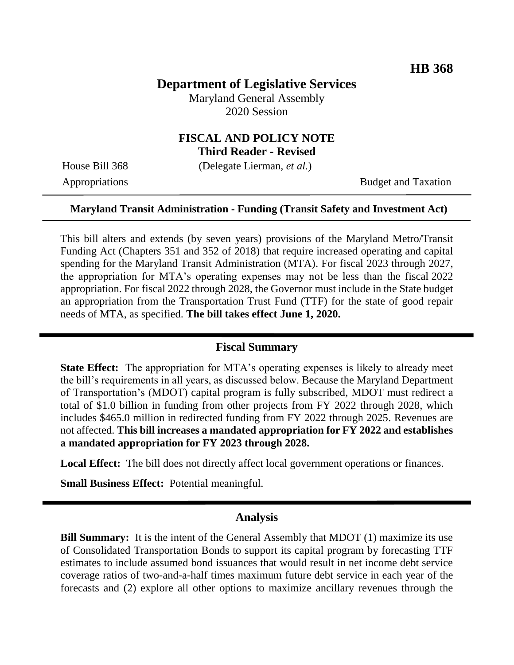## **Department of Legislative Services**

Maryland General Assembly 2020 Session

### **FISCAL AND POLICY NOTE Third Reader - Revised**

House Bill 368 (Delegate Lierman, *et al.*)

Appropriations Budget and Taxation

#### **Maryland Transit Administration - Funding (Transit Safety and Investment Act)**

This bill alters and extends (by seven years) provisions of the Maryland Metro/Transit Funding Act (Chapters 351 and 352 of 2018) that require increased operating and capital spending for the Maryland Transit Administration (MTA). For fiscal 2023 through 2027, the appropriation for MTA's operating expenses may not be less than the fiscal 2022 appropriation. For fiscal 2022 through 2028, the Governor must include in the State budget an appropriation from the Transportation Trust Fund (TTF) for the state of good repair needs of MTA, as specified. **The bill takes effect June 1, 2020.**

#### **Fiscal Summary**

**State Effect:** The appropriation for MTA's operating expenses is likely to already meet the bill's requirements in all years, as discussed below. Because the Maryland Department of Transportation's (MDOT) capital program is fully subscribed, MDOT must redirect a total of \$1.0 billion in funding from other projects from FY 2022 through 2028, which includes \$465.0 million in redirected funding from FY 2022 through 2025. Revenues are not affected. **This bill increases a mandated appropriation for FY 2022 and establishes a mandated appropriation for FY 2023 through 2028.**

**Local Effect:** The bill does not directly affect local government operations or finances.

**Small Business Effect:** Potential meaningful.

#### **Analysis**

**Bill Summary:** It is the intent of the General Assembly that MDOT (1) maximize its use of Consolidated Transportation Bonds to support its capital program by forecasting TTF estimates to include assumed bond issuances that would result in net income debt service coverage ratios of two-and-a-half times maximum future debt service in each year of the forecasts and (2) explore all other options to maximize ancillary revenues through the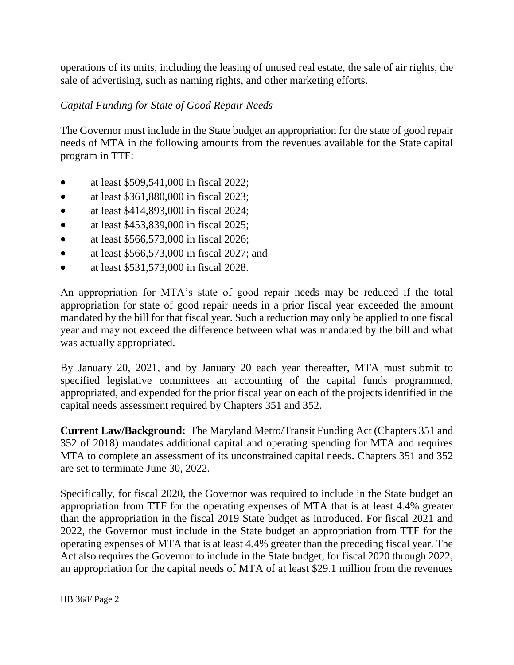operations of its units, including the leasing of unused real estate, the sale of air rights, the sale of advertising, such as naming rights, and other marketing efforts.

## *Capital Funding for State of Good Repair Needs*

The Governor must include in the State budget an appropriation for the state of good repair needs of MTA in the following amounts from the revenues available for the State capital program in TTF:

- at least \$509,541,000 in fiscal 2022;
- at least \$361,880,000 in fiscal 2023;
- at least \$414,893,000 in fiscal 2024;
- at least \$453,839,000 in fiscal 2025;
- at least \$566,573,000 in fiscal 2026;
- at least  $$566,573,000$  in fiscal 2027; and
- at least \$531,573,000 in fiscal 2028.

An appropriation for MTA's state of good repair needs may be reduced if the total appropriation for state of good repair needs in a prior fiscal year exceeded the amount mandated by the bill for that fiscal year. Such a reduction may only be applied to one fiscal year and may not exceed the difference between what was mandated by the bill and what was actually appropriated.

By January 20, 2021, and by January 20 each year thereafter, MTA must submit to specified legislative committees an accounting of the capital funds programmed, appropriated, and expended for the prior fiscal year on each of the projects identified in the capital needs assessment required by Chapters 351 and 352.

**Current Law/Background:** The Maryland Metro/Transit Funding Act (Chapters 351 and 352 of 2018) mandates additional capital and operating spending for MTA and requires MTA to complete an assessment of its unconstrained capital needs. Chapters 351 and 352 are set to terminate June 30, 2022.

Specifically, for fiscal 2020, the Governor was required to include in the State budget an appropriation from TTF for the operating expenses of MTA that is at least 4.4% greater than the appropriation in the fiscal 2019 State budget as introduced. For fiscal 2021 and 2022, the Governor must include in the State budget an appropriation from TTF for the operating expenses of MTA that is at least 4.4% greater than the preceding fiscal year. The Act also requires the Governor to include in the State budget, for fiscal 2020 through 2022, an appropriation for the capital needs of MTA of at least \$29.1 million from the revenues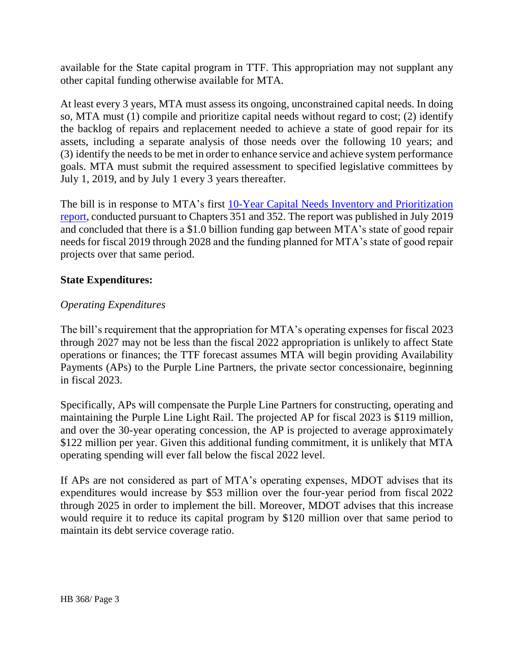available for the State capital program in TTF. This appropriation may not supplant any other capital funding otherwise available for MTA.

At least every 3 years, MTA must assess its ongoing, unconstrained capital needs. In doing so, MTA must (1) compile and prioritize capital needs without regard to cost; (2) identify the backlog of repairs and replacement needed to achieve a state of good repair for its assets, including a separate analysis of those needs over the following 10 years; and (3) identify the needs to be met in order to enhance service and achieve system performance goals. MTA must submit the required assessment to specified legislative committees by July 1, 2019, and by July 1 every 3 years thereafter.

The bill is in response to MTA's first [10-Year Capital Needs Inventory and Prioritization](https://s3.amazonaws.com/mta-website-staging/mta-website-staging/files/Transit%20Projects/Capital/201907_MDOTMTA_CNI.pdf#page=42)  [report,](https://s3.amazonaws.com/mta-website-staging/mta-website-staging/files/Transit%20Projects/Capital/201907_MDOTMTA_CNI.pdf#page=42) conducted pursuant to Chapters 351 and 352. The report was published in July 2019 and concluded that there is a \$1.0 billion funding gap between MTA's state of good repair needs for fiscal 2019 through 2028 and the funding planned for MTA's state of good repair projects over that same period.

### **State Expenditures:**

### *Operating Expenditures*

The bill's requirement that the appropriation for MTA's operating expenses for fiscal 2023 through 2027 may not be less than the fiscal 2022 appropriation is unlikely to affect State operations or finances; the TTF forecast assumes MTA will begin providing Availability Payments (APs) to the Purple Line Partners, the private sector concessionaire, beginning in fiscal 2023.

Specifically, APs will compensate the Purple Line Partners for constructing, operating and maintaining the Purple Line Light Rail. The projected AP for fiscal 2023 is \$119 million, and over the 30-year operating concession, the AP is projected to average approximately \$122 million per year. Given this additional funding commitment, it is unlikely that MTA operating spending will ever fall below the fiscal 2022 level.

If APs are not considered as part of MTA's operating expenses, MDOT advises that its expenditures would increase by \$53 million over the four-year period from fiscal 2022 through 2025 in order to implement the bill. Moreover, MDOT advises that this increase would require it to reduce its capital program by \$120 million over that same period to maintain its debt service coverage ratio.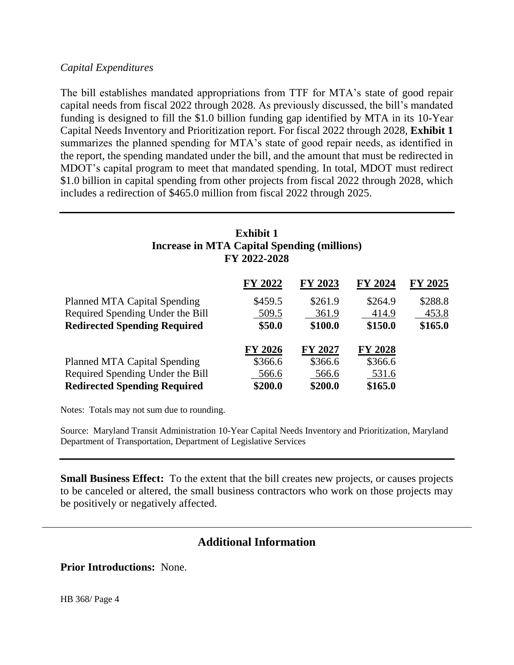### *Capital Expenditures*

The bill establishes mandated appropriations from TTF for MTA's state of good repair capital needs from fiscal 2022 through 2028. As previously discussed, the bill's mandated funding is designed to fill the \$1.0 billion funding gap identified by MTA in its 10-Year Capital Needs Inventory and Prioritization report. For fiscal 2022 through 2028, **Exhibit 1** summarizes the planned spending for MTA's state of good repair needs, as identified in the report, the spending mandated under the bill, and the amount that must be redirected in MDOT's capital program to meet that mandated spending. In total, MDOT must redirect \$1.0 billion in capital spending from other projects from fiscal 2022 through 2028, which includes a redirection of \$465.0 million from fiscal 2022 through 2025.

# **Exhibit 1 Increase in MTA Capital Spending (millions) FY 2022-2028**

|                                     | FY 2022        | FY 2023 | FY 2024        | <b>FY 2025</b> |
|-------------------------------------|----------------|---------|----------------|----------------|
| <b>Planned MTA Capital Spending</b> | \$459.5        | \$261.9 | \$264.9        | \$288.8        |
| Required Spending Under the Bill    | 509.5          | 361.9   | 414.9          | 453.8          |
| <b>Redirected Spending Required</b> | \$50.0         | \$100.0 | \$150.0        | \$165.0        |
|                                     | <b>FY 2026</b> | FY 2027 | <b>FY 2028</b> |                |
| <b>Planned MTA Capital Spending</b> | \$366.6        | \$366.6 | \$366.6        |                |
| Required Spending Under the Bill    | 566.6          | 566.6   | 531.6          |                |
| <b>Redirected Spending Required</b> | \$200.0        | \$200.0 | \$165.0        |                |

Notes: Totals may not sum due to rounding.

Source: Maryland Transit Administration 10-Year Capital Needs Inventory and Prioritization, Maryland Department of Transportation, Department of Legislative Services

**Small Business Effect:** To the extent that the bill creates new projects, or causes projects to be canceled or altered, the small business contractors who work on those projects may be positively or negatively affected.

# **Additional Information**

**Prior Introductions:** None.